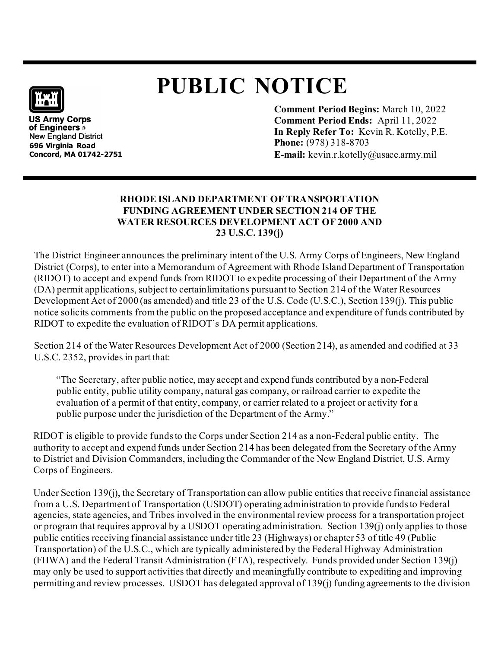## **PUBLIC NOTICE**



**US Army Corps** of Engineers ® New England District **696 Virginia Road Concord, MA 01742-2751** **Comment Period Begins:** March 10, 2022 **Comment Period Ends:** April 11, 2022 **In Reply Refer To:** Kevin R. Kotelly, P.E. **Phone:** (978) 318-8703 **E-mail:** kevin.r.kotelly@usace.army.mil

## **RHODE ISLAND DEPARTMENT OF TRANSPORTATION FUNDING AGREEMENT UNDER SECTION 214 OF THE WATER RESOURCES DEVELOPMENT ACT OF 2000 AND 23 U.S.C. 139(j)**

The District Engineer announces the preliminary intent of the U.S. Army Corps of Engineers, New England District (Corps), to enter into a Memorandum of Agreement with Rhode Island Department of Transportation (RIDOT) to accept and expend funds from RIDOT to expedite processing of their Department of the Army (DA) permit applications, subject to certainlimitations pursuant to Section 214 of the Water Resources Development Act of 2000 (as amended) and title 23 of the U.S. Code (U.S.C.), Section 139(j). This public notice solicits comments from the public on the proposed acceptance and expenditure of funds contributed by RIDOT to expedite the evaluation of RIDOT's DA permit applications.

Section 214 of the Water Resources Development Act of 2000 (Section 214), as amended and codified at 33 U.S.C. 2352, provides in part that:

"The Secretary, after public notice, may accept and expend funds contributed by a non-Federal public entity, public utility company, natural gas company, or railroad carrier to expedite the evaluation of a permit of that entity, company, or carrier related to a project or activity for a public purpose under the jurisdiction of the Department of the Army."

RIDOT is eligible to provide funds to the Corps under Section 214 as a non-Federal public entity. The authority to accept and expend funds under Section 214 has been delegated from the Secretary of the Army to District and Division Commanders, including the Commander of the New England District, U.S. Army Corps of Engineers.

Under Section 139(j), the Secretary of Transportation can allow public entities that receive financial assistance from a U.S. Department of Transportation (USDOT) operating administration to provide funds to Federal agencies, state agencies, and Tribes involved in the environmental review process for a transportation project or program that requires approval by a USDOT operating administration. Section 139(j) only applies to those public entities receiving financial assistance under title 23 (Highways) or chapter 53 of title 49 (Public Transportation) of the U.S.C., which are typically administered by the Federal Highway Administration (FHWA) and the Federal Transit Administration (FTA), respectively. Funds provided under Section 139(j) may only be used to support activities that directly and meaningfully contribute to expediting and improving permitting and review processes. USDOT has delegated approval of 139(j) funding agreements to the division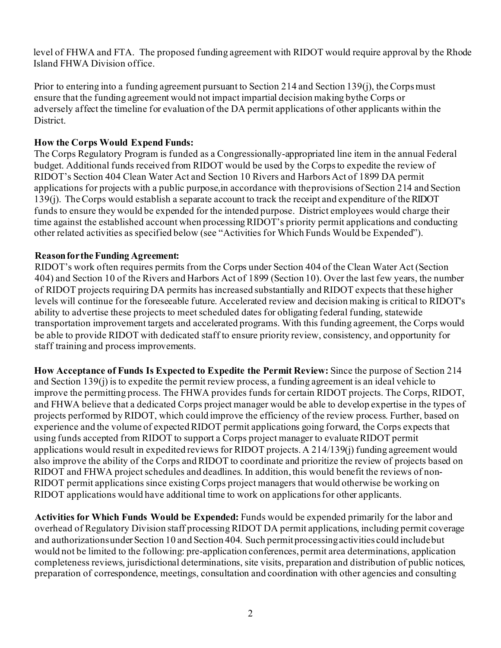level of FHWA and FTA. The proposed funding agreement with RIDOT would require approval by the Rhode Island FHWA Division office.

Prior to entering into a funding agreement pursuant to Section 214 and Section 139(j), the Corps must ensure that the funding agreement would not impact impartial decision making bythe Corps or adversely affect the timeline for evaluation of the DA permit applications of other applicants within the District.

## **How the Corps Would Expend Funds:**

The Corps Regulatory Program is funded as a Congressionally-appropriated line item in the annual Federal budget. Additional funds received from RIDOT would be used by the Corps to expedite the review of RIDOT's Section 404 Clean Water Act and Section 10 Rivers and Harbors Act of 1899 DA permit applications for projects with a public purpose,in accordance with theprovisions ofSection 214 and Section 139(j). TheCorps would establish a separate account to track the receipt and expenditure of theRIDOT funds to ensure they would be expended for the intended purpose. District employees would charge their time against the established account when processing RIDOT's priority permit applications and conducting other related activities as specified below (see "Activities for Which Funds Would be Expended").

## **Reasonforthe Funding Agreement:**

RIDOT's work often requires permits from the Corps under Section 404 of the Clean Water Act (Section 404) and Section 10 of the Rivers and Harbors Act of 1899 (Section 10). Over the last few years, the number of RIDOT projects requiring DA permits has increased substantially and RIDOT expects that these higher levels will continue for the foreseeable future. Accelerated review and decision making is critical to RIDOT's ability to advertise these projects to meet scheduled dates for obligating federal funding, statewide transportation improvement targets and accelerated programs. With this funding agreement, the Corps would be able to provide RIDOT with dedicated staff to ensure priority review, consistency, and opportunity for staff training and process improvements.

**How Acceptance of Funds Is Expected to Expedite the Permit Review:** Since the purpose of Section 214 and Section 139(j) is to expedite the permit review process, a funding agreement is an ideal vehicle to improve the permitting process. The FHWA provides funds for certain RIDOT projects. The Corps, RIDOT, and FHWA believe that a dedicated Corps project manager would be able to develop expertise in the types of projects performed by RIDOT, which could improve the efficiency of the review process. Further, based on experience and the volume of expected RIDOT permit applications going forward, the Corps expects that using funds accepted from RIDOT to support a Corps project manager to evaluate RIDOT permit applications would result in expedited reviews for RIDOT projects. A 214/139(j) funding agreement would also improve the ability of the Corps and RIDOT to coordinate and prioritize the review of projects based on RIDOT and FHWA project schedules and deadlines. In addition, this would benefit the reviews of non-RIDOT permit applications since existing Corps project managers that would otherwise be working on RIDOT applications would have additional time to work on applicationsfor other applicants.

**Activities for Which Funds Would be Expended:** Funds would be expended primarily for the labor and overhead of Regulatory Division staff processing RIDOT DA permit applications, including permit coverage and authorizationsunder Section 10 and Section 404. Such permit processing activities could include but would not be limited to the following: pre-application conferences, permit area determinations, application completeness reviews, jurisdictional determinations, site visits, preparation and distribution of public notices, preparation of correspondence, meetings, consultation and coordination with other agencies and consulting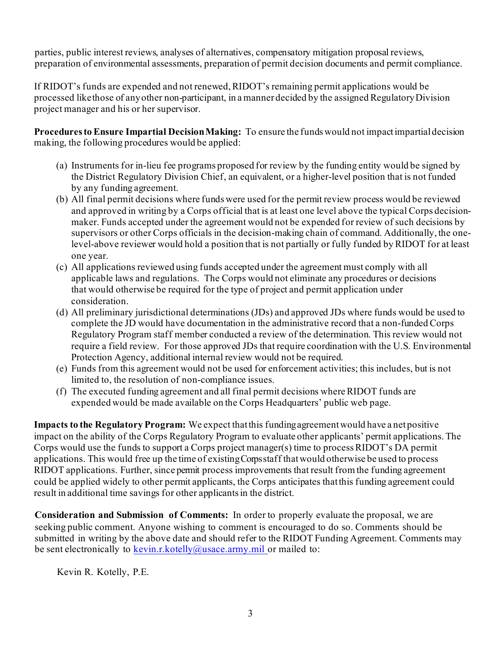parties, public interest reviews, analyses of alternatives, compensatory mitigation proposal reviews, preparation of environmental assessments, preparation of permit decision documents and permit compliance.

If RIDOT's funds are expended and not renewed, RIDOT's remaining permit applications would be processed likethose of anyother non-participant, in a manner decided by the assigned RegulatoryDivision project manager and his or her supervisor.

**Proceduresto Ensure Impartial DecisionMaking:** To ensure the funds would not impactimpartialdecision making, the following procedures would be applied:

- (a) Instruments for in-lieu fee programs proposed for review by the funding entity would be signed by the District Regulatory Division Chief, an equivalent, or a higher-level position that is not funded by any funding agreement.
- (b) All final permit decisions where funds were used for the permit review process would be reviewed and approved in writing by a Corps official that is at least one level above the typical Corps decisionmaker. Funds accepted under the agreement would not be expended for review of such decisions by supervisors or other Corps officials in the decision-making chain of command. Additionally, the onelevel-above reviewer would hold a position that is not partially or fully funded by RIDOT for at least one year.
- (c) All applications reviewed using funds accepted under the agreement must comply with all applicable laws and regulations. The Corps would not eliminate any procedures or decisions that would otherwise be required for the type of project and permit application under consideration.
- (d) All preliminary jurisdictional determinations (JDs) and approved JDs where funds would be used to complete the JD would have documentation in the administrative record that a non-funded Corps Regulatory Program staff member conducted a review of the determination. This review would not require a field review. For those approved JDs that require coordination with the U.S. Environmental Protection Agency, additional internal review would not be required.
- (e) Funds from this agreement would not be used for enforcement activities; this includes, but is not limited to, the resolution of non-compliance issues.
- (f) The executed funding agreement and all final permit decisions where RIDOT funds are expended would be made available on the Corps Headquarters' public web page.

**Impacts to the Regulatory Program:** We expect thatthis fundingagreementwould have a netpositive impact on the ability of the Corps Regulatory Program to evaluate other applicants' permit applications. The Corps would use the funds to support a Corps project manager(s) time to processRIDOT's DA permit applications. This would free up the time of existingCorps staff thatwould otherwise be used to process RIDOT applications. Further, since permit process improvements that result from the funding agreement could be applied widely to other permit applicants, the Corps anticipates thatthis funding agreement could result in additional time savings for other applicants in the district.

**Consideration and Submission of Comments:** In order to properly evaluate the proposal, we are seeking public comment. Anyone wishing to comment is encouraged to do so. Comments should be submitted in writing by the above date and should refer to the RIDOT Funding Agreement. Comments may be sent electronically to [kevin.r.kotelly@usace.army.mil](mailto:kevin.r.kotelly@usace.army.mil) or mailed to:

Kevin R. Kotelly, P.E.